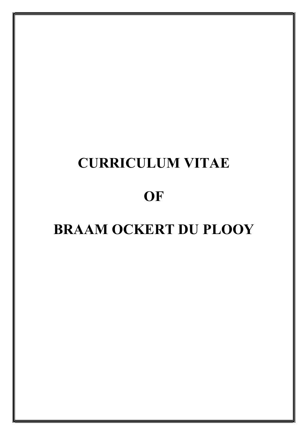# CURRICULUM VITAE

# **OF**

# BRAAM OCKERT DU PLOOY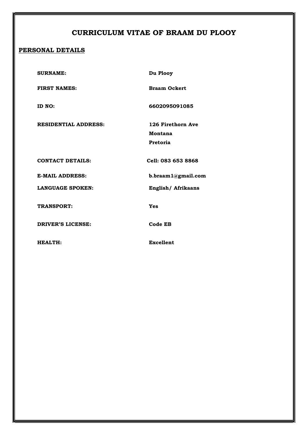### CURRICULUM VITAE OF BRAAM DU PLOOY

### PERSONAL DETAILS

| <b>SURNAME:</b>             | Du Plooy                                 |
|-----------------------------|------------------------------------------|
| <b>FIRST NAMES:</b>         | <b>Braam Ockert</b>                      |
| ID NO:                      | 6602095091085                            |
| <b>RESIDENTIAL ADDRESS:</b> | 126 Firethorn Ave<br>Montana<br>Pretoria |
| <b>CONTACT DETAILS:</b>     | Cell: 083 653 8868                       |
| <b>E-MAIL ADDRESS:</b>      | b.braam1@gmail.com                       |
| <b>LANGUAGE SPOKEN:</b>     | English/ Afrikaans                       |
| <b>TRANSPORT:</b>           | Yes                                      |
| <b>DRIVER'S LICENSE:</b>    | Code EB                                  |
| HEALTH:                     | <b>Excellent</b>                         |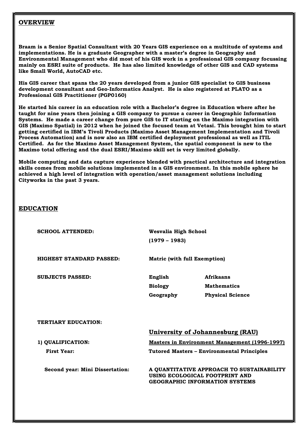#### **OVERVIEW**

Braam is a Senior Spatial Consultant with 20 Years GIS experience on a multitude of systems and implementations. He is a graduate Geographer with a master's degree in Geography and Environmental Management who did most of his GIS work in a professional GIS company focussing mainly on ESRI suite of products. He has also limited knowledge of other GIS and CAD systems like Small World, AutoCAD etc.

His GIS career that spans the 20 years developed from a junior GIS specialist to GIS business development consultant and Geo-Informatics Analyst. He is also registered at PLATO as a Professional GIS Practitioner (PGP0160)

He started his career in an education role with a Bachelor's degree in Education where after he taught for nine years then joining a GIS company to pursue a career in Geographic Information Systems. He made a career change from pure GIS to IT starting on the Maximo integration with GIS (Maximo Spatial) in 2012 when he joined the focused team at Vetasi. This brought him to start getting certified in IBM's Tivoli Products (Maximo Asset Management Implementation and Tivoli Process Automation) and is now also an IBM certified deployment professional as well as ITIL Certified. As for the Maximo Asset Management System, the spatial component is new to the Maximo total offering and the dual ESRI/Maximo skill set is very limited globally.

Mobile computing and data capture experience blended with practical architecture and integration skills comes from mobile solutions implemented in a GIS environment. In this mobile sphere he achieved a high level of integration with operation/asset management solutions including Cityworks in the past 3 years.

#### EDUCATION

SCHOOL ATTENDED: Wesvalia High School

(1979 – 1983)

HIGHEST STANDARD PASSED: Matric (with full Exemption)

SUBJECTS PASSED: English Afrikaans Biology Mathematics Geography Physical Science

TERTIARY EDUCATION:

#### University of Johannesburg (RAU)

1) QUALIFICATION: Masters in Environment Management (1996-1997)

First Year: Tutored Masters – Environmental Principles

 Second year: Mini Dissertation: A QUANTITATIVE APPROACH TO SUSTAINABILITY USING ECOLOGICAL FOOTPRINT AND GEOGRAPHIC INFORMATION SYSTEMS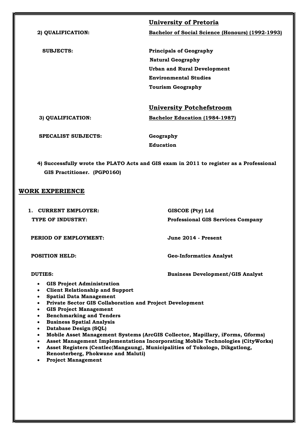|                            | <b>University of Pretoria</b>                    |
|----------------------------|--------------------------------------------------|
| 2) QUALIFICATION:          | Bachelor of Social Science (Honours) (1992-1993) |
|                            |                                                  |
| <b>SUBJECTS:</b>           | <b>Principals of Geography</b>                   |
|                            | <b>Natural Geography</b>                         |
|                            | <b>Urban and Rural Development</b>               |
|                            | <b>Environmental Studies</b>                     |
|                            | <b>Tourism Geography</b>                         |
|                            | <b>University Potchefstroom</b>                  |
| 3) QUALIFICATION:          | <b>Bachelor Education (1984-1987)</b>            |
| <b>SPECALIST SUBJECTS:</b> | Geography                                        |
|                            | <b>Education</b>                                 |
|                            |                                                  |

4) Successfully wrote the PLATO Acts and GIS exam in 2011 to register as a Professional GIS Practitioner. (PGP0160)

#### WORK EXPERIENCE

| CURRENT EMPLOYER:                                                                                                                                                                         | GISCOE (Pty) Ltd                         |
|-------------------------------------------------------------------------------------------------------------------------------------------------------------------------------------------|------------------------------------------|
| TYPE OF INDUSTRY:                                                                                                                                                                         | <b>Professional GIS Services Company</b> |
|                                                                                                                                                                                           |                                          |
| PERIOD OF EMPLOYMENT:                                                                                                                                                                     | June 2014 - Present                      |
|                                                                                                                                                                                           |                                          |
| <b>POSITION HELD:</b>                                                                                                                                                                     | <b>Geo-Informatics Analyst</b>           |
|                                                                                                                                                                                           |                                          |
| DUTIES:                                                                                                                                                                                   | <b>Business Development/GIS Analyst</b>  |
| <b>GIS Project Administration</b><br>$\bullet$                                                                                                                                            |                                          |
| <b>Client Relationship and Support</b><br><b>Spatial Data Management</b><br>$\bullet$<br>Private Sector GIS Collaboration and Project Development<br>$\bullet$<br>CIR Designt Monogramont |                                          |

- GIS Project Management
- **•** Benchmarking and Tenders
- **•** Business Spatial Analysis
- Database Design (SQL)
- Mobile Asset Management Systems (ArcGIS Collector, Mapillary, iForms, Gforms)
- Asset Management Implementations Incorporating Mobile Technologies (CityWorks) Asset Registers (Centlec{Mangaung}, Municipalities of Tokologo, Dikgatlong,
- Renosterberg, Phokwane and Maluti)
- Project Management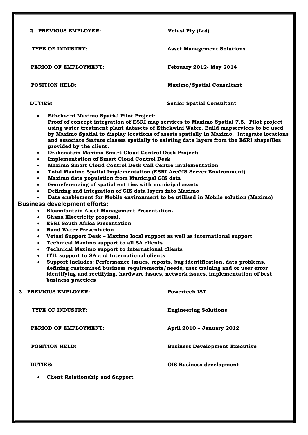| 2. PREVIOUS EMPLOYER:                                                                                                                                                                                                                                                                                                                                                                                                                                                                                                                                                                                                                                                                                                                                                                                                                                                                                                                                                                                                                                                                                                                                                                                                                                                                                                                                                                                                                                                                                                                                                                                                                                                                                                                                                                                                                                                                                                                | Vetasi Pty (Ltd)                      |
|--------------------------------------------------------------------------------------------------------------------------------------------------------------------------------------------------------------------------------------------------------------------------------------------------------------------------------------------------------------------------------------------------------------------------------------------------------------------------------------------------------------------------------------------------------------------------------------------------------------------------------------------------------------------------------------------------------------------------------------------------------------------------------------------------------------------------------------------------------------------------------------------------------------------------------------------------------------------------------------------------------------------------------------------------------------------------------------------------------------------------------------------------------------------------------------------------------------------------------------------------------------------------------------------------------------------------------------------------------------------------------------------------------------------------------------------------------------------------------------------------------------------------------------------------------------------------------------------------------------------------------------------------------------------------------------------------------------------------------------------------------------------------------------------------------------------------------------------------------------------------------------------------------------------------------------|---------------------------------------|
| TYPE OF INDUSTRY:                                                                                                                                                                                                                                                                                                                                                                                                                                                                                                                                                                                                                                                                                                                                                                                                                                                                                                                                                                                                                                                                                                                                                                                                                                                                                                                                                                                                                                                                                                                                                                                                                                                                                                                                                                                                                                                                                                                    | <b>Asset Management Solutions</b>     |
| PERIOD OF EMPLOYMENT:                                                                                                                                                                                                                                                                                                                                                                                                                                                                                                                                                                                                                                                                                                                                                                                                                                                                                                                                                                                                                                                                                                                                                                                                                                                                                                                                                                                                                                                                                                                                                                                                                                                                                                                                                                                                                                                                                                                | <b>February 2012- May 2014</b>        |
| <b>POSITION HELD:</b>                                                                                                                                                                                                                                                                                                                                                                                                                                                                                                                                                                                                                                                                                                                                                                                                                                                                                                                                                                                                                                                                                                                                                                                                                                                                                                                                                                                                                                                                                                                                                                                                                                                                                                                                                                                                                                                                                                                | <b>Maximo/Spatial Consultant</b>      |
| <b>DUTIES:</b>                                                                                                                                                                                                                                                                                                                                                                                                                                                                                                                                                                                                                                                                                                                                                                                                                                                                                                                                                                                                                                                                                                                                                                                                                                                                                                                                                                                                                                                                                                                                                                                                                                                                                                                                                                                                                                                                                                                       | <b>Senior Spatial Consultant</b>      |
| Ethekwini Maximo Spatial Pilot Project:<br>$\bullet$<br>Proof of concept integration of ESRI map services to Maximo Spatial 7.5. Pilot project<br>using water treatment plant datasets of Ethekwini Water. Build mapservices to be used<br>by Maximo Spatial to display locations of assets spatially in Maximo. Integrate locations<br>and associate feature classes spatially to existing data layers from the ESRI shapefiles<br>provided by the client.<br>Drakenstein Maximo Smart Cloud Control Desk Project:<br>$\bullet$<br><b>Implementation of Smart Cloud Control Desk</b><br>$\bullet$<br>Maximo Smart Cloud Control Desk Call Centre implementation<br>$\bullet$<br><b>Total Maximo Spatial Implementation (ESRI ArcGIS Server Environment)</b><br>$\bullet$<br>Maximo data population from Municipal GIS data<br>$\bullet$<br>Georeferencing of spatial entities with municipal assets<br>$\bullet$<br>Defining and integration of GIS data layers into Maximo<br>$\bullet$<br>Data enablement for Mobile environment to be utilised in Mobile solution (Maximo)<br><b>Business development efforts:</b><br><b>Bloemfontein Asset Management Presentation.</b><br>$\bullet$<br>Ghana Electricity proposal.<br>$\bullet$<br><b>ESRI South Africa Presentation</b><br>$\bullet$<br><b>Rand Water Presentation</b><br>$\bullet$<br>Vetasi Support Desk - Maximo local support as well as international support<br>$\bullet$<br><b>Technical Maximo support to all SA clients</b><br>$\bullet$<br><b>Technical Maximo support to international clients</b><br>$\bullet$<br>ITIL support to SA and International clients<br>Support includes: Performance issues, reports, bug identification, data problems,<br>$\bullet$<br>defining customised business requirements/needs, user training and or user error<br>identifying and rectifying, hardware issues, network issues, implementation of best<br>business practices |                                       |
| 3. PREVIOUS EMPLOYER:                                                                                                                                                                                                                                                                                                                                                                                                                                                                                                                                                                                                                                                                                                                                                                                                                                                                                                                                                                                                                                                                                                                                                                                                                                                                                                                                                                                                                                                                                                                                                                                                                                                                                                                                                                                                                                                                                                                | <b>Powertech IST</b>                  |
| <b>TYPE OF INDUSTRY:</b>                                                                                                                                                                                                                                                                                                                                                                                                                                                                                                                                                                                                                                                                                                                                                                                                                                                                                                                                                                                                                                                                                                                                                                                                                                                                                                                                                                                                                                                                                                                                                                                                                                                                                                                                                                                                                                                                                                             | <b>Engineering Solutions</b>          |
| PERIOD OF EMPLOYMENT:                                                                                                                                                                                                                                                                                                                                                                                                                                                                                                                                                                                                                                                                                                                                                                                                                                                                                                                                                                                                                                                                                                                                                                                                                                                                                                                                                                                                                                                                                                                                                                                                                                                                                                                                                                                                                                                                                                                | April 2010 - January 2012             |
| <b>POSITION HELD:</b>                                                                                                                                                                                                                                                                                                                                                                                                                                                                                                                                                                                                                                                                                                                                                                                                                                                                                                                                                                                                                                                                                                                                                                                                                                                                                                                                                                                                                                                                                                                                                                                                                                                                                                                                                                                                                                                                                                                | <b>Business Development Executive</b> |
| <b>DUTIES:</b>                                                                                                                                                                                                                                                                                                                                                                                                                                                                                                                                                                                                                                                                                                                                                                                                                                                                                                                                                                                                                                                                                                                                                                                                                                                                                                                                                                                                                                                                                                                                                                                                                                                                                                                                                                                                                                                                                                                       | <b>GIS Business development</b>       |
| <b>Client Relationship and Support</b><br>$\bullet$                                                                                                                                                                                                                                                                                                                                                                                                                                                                                                                                                                                                                                                                                                                                                                                                                                                                                                                                                                                                                                                                                                                                                                                                                                                                                                                                                                                                                                                                                                                                                                                                                                                                                                                                                                                                                                                                                  |                                       |
|                                                                                                                                                                                                                                                                                                                                                                                                                                                                                                                                                                                                                                                                                                                                                                                                                                                                                                                                                                                                                                                                                                                                                                                                                                                                                                                                                                                                                                                                                                                                                                                                                                                                                                                                                                                                                                                                                                                                      |                                       |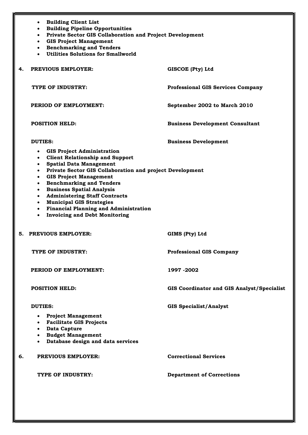|    | <b>Building Client List</b><br>$\bullet$<br><b>Building Pipeline Opportunities</b><br>$\bullet$<br>• Private Sector GIS Collaboration and Project Development<br><b>GIS Project Management</b><br>$\bullet$<br>• Benchmarking and Tenders<br><b>Utilities Solutions for Smallworld</b><br>$\bullet$                                                                                                                                                                                                                                                                                                 |                                            |
|----|-----------------------------------------------------------------------------------------------------------------------------------------------------------------------------------------------------------------------------------------------------------------------------------------------------------------------------------------------------------------------------------------------------------------------------------------------------------------------------------------------------------------------------------------------------------------------------------------------------|--------------------------------------------|
| 4. | PREVIOUS EMPLOYER:                                                                                                                                                                                                                                                                                                                                                                                                                                                                                                                                                                                  | GISCOE (Pty) Ltd                           |
|    | TYPE OF INDUSTRY:                                                                                                                                                                                                                                                                                                                                                                                                                                                                                                                                                                                   | <b>Professional GIS Services Company</b>   |
|    | PERIOD OF EMPLOYMENT:                                                                                                                                                                                                                                                                                                                                                                                                                                                                                                                                                                               | September 2002 to March 2010               |
|    | <b>POSITION HELD:</b>                                                                                                                                                                                                                                                                                                                                                                                                                                                                                                                                                                               | <b>Business Development Consultant</b>     |
|    | <b>DUTIES:</b>                                                                                                                                                                                                                                                                                                                                                                                                                                                                                                                                                                                      | <b>Business Development</b>                |
|    | <b>GIS Project Administration</b><br>$\bullet$<br><b>Client Relationship and Support</b><br>$\bullet$<br><b>Spatial Data Management</b><br>$\bullet$<br>Private Sector GIS Collaboration and project Development<br>$\bullet$<br><b>GIS Project Management</b><br>$\bullet$<br><b>Benchmarking and Tenders</b><br>$\bullet$<br><b>Business Spatial Analysis</b><br>$\bullet$<br><b>Administering Staff Contracts</b><br>$\bullet$<br><b>Municipal GIS Strategies</b><br>$\bullet$<br><b>Financial Planning and Administration</b><br>$\bullet$<br><b>Invoicing and Debt Monitoring</b><br>$\bullet$ |                                            |
|    | 5. PREVIOUS EMPLOYER:                                                                                                                                                                                                                                                                                                                                                                                                                                                                                                                                                                               | GIMS (Pty) Ltd                             |
|    | TYPE OF INDUSTRY:                                                                                                                                                                                                                                                                                                                                                                                                                                                                                                                                                                                   | <b>Professional GIS Company</b>            |
|    | PERIOD OF EMPLOYMENT:                                                                                                                                                                                                                                                                                                                                                                                                                                                                                                                                                                               | 1997 - 2002                                |
|    | <b>POSITION HELD:</b>                                                                                                                                                                                                                                                                                                                                                                                                                                                                                                                                                                               | GIS Coordinator and GIS Analyst/Specialist |
|    | <b>DUTIES:</b><br><b>Project Management</b><br>$\bullet$<br><b>Facilitate GIS Projects</b><br>$\bullet$<br>• Data Capture<br>• Budget Management<br>• Database design and data services                                                                                                                                                                                                                                                                                                                                                                                                             | <b>GIS Specialist/Analyst</b>              |
| 6. | <b>PREVIOUS EMPLOYER:</b>                                                                                                                                                                                                                                                                                                                                                                                                                                                                                                                                                                           | <b>Correctional Services</b>               |
|    | TYPE OF INDUSTRY:                                                                                                                                                                                                                                                                                                                                                                                                                                                                                                                                                                                   | <b>Department of Corrections</b>           |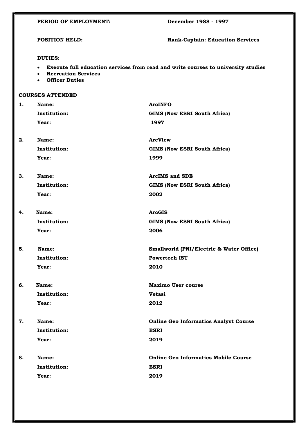|    | PERIOD OF EMPLOYMENT:                                                                                                                                                           | December 1988 - 1997                         |
|----|---------------------------------------------------------------------------------------------------------------------------------------------------------------------------------|----------------------------------------------|
|    | <b>POSITION HELD:</b>                                                                                                                                                           | <b>Rank-Captain: Education Services</b>      |
|    | <b>DUTIES:</b><br>Execute full education services from read and write courses to university studies<br>$\bullet$<br>• Recreation Services<br><b>Officer Duties</b><br>$\bullet$ |                                              |
|    | <b>COURSES ATTENDED</b>                                                                                                                                                         |                                              |
| 1. | Name:                                                                                                                                                                           | <b>ArcINFO</b>                               |
|    | Institution:                                                                                                                                                                    | <b>GIMS (Now ESRI South Africa)</b>          |
|    | Year:                                                                                                                                                                           | 1997                                         |
| 2. | Name:                                                                                                                                                                           | <b>ArcView</b>                               |
|    | <b>Institution:</b>                                                                                                                                                             | <b>GIMS (Now ESRI South Africa)</b>          |
|    | Year:                                                                                                                                                                           | 1999                                         |
| 3. | Name:                                                                                                                                                                           | <b>ArcIMS and SDE</b>                        |
|    | <b>Institution:</b>                                                                                                                                                             | GIMS (Now ESRI South Africa)                 |
|    | Year:                                                                                                                                                                           | 2002                                         |
| 4. | Name:                                                                                                                                                                           | <b>ArcGIS</b>                                |
|    | <b>Institution:</b>                                                                                                                                                             | GIMS (Now ESRI South Africa)                 |
|    | Year:                                                                                                                                                                           | 2006                                         |
| 5. | Name:                                                                                                                                                                           | Smallworld (PNI/Electric & Water Office)     |
|    | <b>Institution:</b>                                                                                                                                                             | <b>Powertech IST</b>                         |
|    | Year:                                                                                                                                                                           | 2010                                         |
| 6. | Name:                                                                                                                                                                           | <b>Maximo User course</b>                    |
|    | <b>Institution:</b>                                                                                                                                                             | <b>Vetasi</b>                                |
|    | Year:                                                                                                                                                                           | 2012                                         |
| 7. | Name:                                                                                                                                                                           | <b>Online Geo Informatics Analyst Course</b> |
|    | <b>Institution:</b>                                                                                                                                                             | <b>ESRI</b>                                  |
|    | Year:                                                                                                                                                                           | 2019                                         |
| 8. | Name:                                                                                                                                                                           | <b>Online Geo Informatics Mobile Course</b>  |
|    | <b>Institution:</b>                                                                                                                                                             | <b>ESRI</b>                                  |
|    | Year:                                                                                                                                                                           | 2019                                         |
|    |                                                                                                                                                                                 |                                              |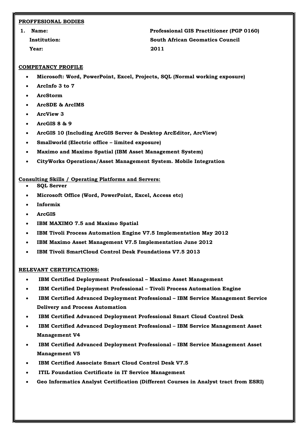#### PROFFESIONAL BODIES

Year: 2011

1. Name: Professional GIS Practitioner (PGP 0160) Institution: South African Geomatics Council

#### COMPETANCY PROFILE

- Microsoft: Word, PowerPoint, Excel, Projects, SQL (Normal working exposure)
- ArcInfo 3 to 7
- ArcStorm
- ArcSDE & ArcIMS
- ArcView 3
- ArcGIS 8 & 9
- ArcGIS 10 (Including ArcGIS Server & Desktop ArcEditor, ArcView)
- Smallworld (Electric office limited exposure)
- Maximo and Maximo Spatial (IBM Asset Management System)
- CityWorks Operations/Asset Management System. Mobile Integration

#### Consulting Skills / Operating Platforms and Servers:

- SQL Server
- Microsoft Office (Word, PowerPoint, Excel, Access etc)
- Informix
- ArcGIS
- IBM MAXIMO 7.5 and Maximo Spatial
- IBM Tivoli Process Automation Engine V7.5 Implementation May 2012
- IBM Maximo Asset Management V7.5 Implementation June 2012
- IBM Tivoli SmartCloud Control Desk Foundations V7.5 2013

#### RELEVANT CERTIFICATIONS:

- IBM Certified Deployment Professional Maximo Asset Management
- IBM Certified Deployment Professional Tivoli Process Automation Engine
- IBM Certified Advanced Deployment Professional IBM Service Management Service Delivery and Process Automation
- IBM Certified Advanced Deployment Professional Smart Cloud Control Desk
- IBM Certified Advanced Deployment Professional IBM Service Management Asset Management V4
- IBM Certified Advanced Deployment Professional IBM Service Management Asset Management V5
- IBM Certified Associate Smart Cloud Control Desk V7.5
- ITIL Foundation Certificate in IT Service Management
- Geo Informatics Analyst Certification (Different Courses in Analyst tract from ESRI)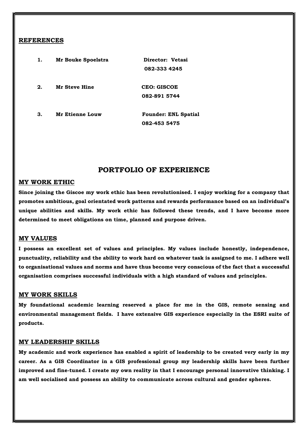#### REFERENCES

| 1. | Mr Bouke Spoelstra   | Director: Vetasi            |
|----|----------------------|-----------------------------|
|    |                      | 082-333 4245                |
| 2. | <b>Mr Steve Hine</b> | CEO: GISCOE                 |
|    |                      | 082-891 5744                |
| 3. | Mr Etienne Louw      | <b>Founder: ENL Spatial</b> |
|    |                      | 082-453 5475                |

### PORTFOLIO OF EXPERIENCE

#### MY WORK ETHIC

Since joining the Giscoe my work ethic has been revolutionised. I enjoy working for a company that promotes ambitious, goal orientated work patterns and rewards performance based on an individual's unique abilities and skills. My work ethic has followed these trends, and I have become more determined to meet obligations on time, planned and purpose driven.

#### MY VALUES

I possess an excellent set of values and principles. My values include honestly, independence, punctuality, reliability and the ability to work hard on whatever task is assigned to me. I adhere well to organisational values and norms and have thus become very conscious of the fact that a successful organisation comprises successful individuals with a high standard of values and principles.

#### MY WORK SKILLS

My foundational academic learning reserved a place for me in the GIS, remote sensing and environmental management fields. I have extensive GIS experience especially in the ESRI suite of products.

#### MY LEADERSHIP SKILLS

My academic and work experience has enabled a spirit of leadership to be created very early in my career. As a GIS Coordinator in a GIS professional group my leadership skills have been further improved and fine-tuned. I create my own reality in that I encourage personal innovative thinking. I am well socialised and possess an ability to communicate across cultural and gender spheres.